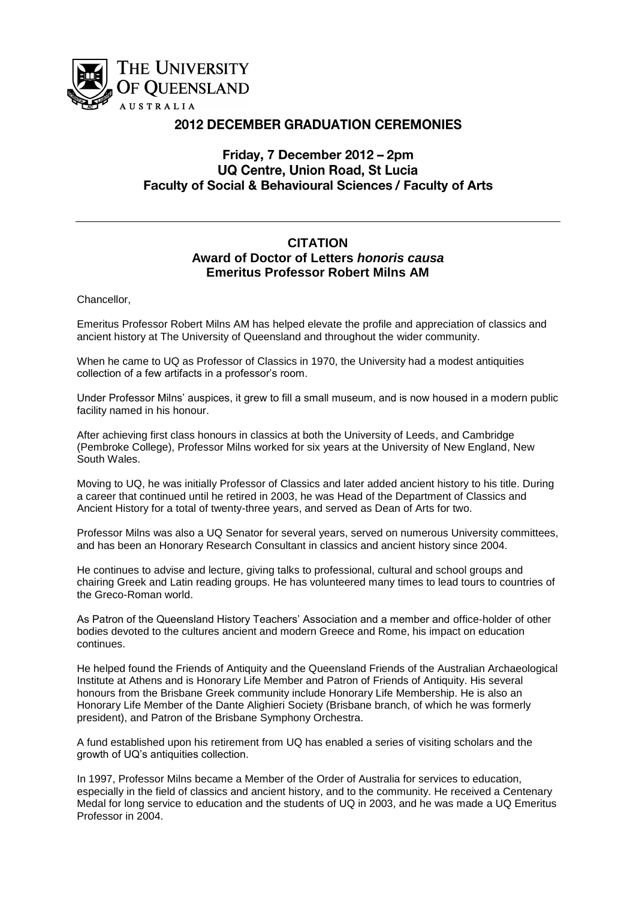

## **2012 DECEMBER GRADUATION CEREMONIES**

## Friday, 7 December 2012 - 2pm **UQ Centre, Union Road, St Lucia Faculty of Social & Behavioural Sciences / Faculty of Arts**

## **CITATION Award of Doctor of Letters** *honoris causa* **Emeritus Professor Robert Milns AM**

Chancellor,

Emeritus Professor Robert Milns AM has helped elevate the profile and appreciation of classics and ancient history at The University of Queensland and throughout the wider community.

When he came to UQ as Professor of Classics in 1970, the University had a modest antiquities collection of a few artifacts in a professor's room.

Under Professor Milns' auspices, it grew to fill a small museum, and is now housed in a modern public facility named in his honour.

After achieving first class honours in classics at both the University of Leeds, and Cambridge (Pembroke College), Professor Milns worked for six years at the University of New England, New South Wales.

Moving to UQ, he was initially Professor of Classics and later added ancient history to his title. During a career that continued until he retired in 2003, he was Head of the Department of Classics and Ancient History for a total of twenty-three years, and served as Dean of Arts for two.

Professor Milns was also a UQ Senator for several years, served on numerous University committees, and has been an Honorary Research Consultant in classics and ancient history since 2004.

He continues to advise and lecture, giving talks to professional, cultural and school groups and chairing Greek and Latin reading groups. He has volunteered many times to lead tours to countries of the Greco-Roman world.

As Patron of the Queensland History Teachers' Association and a member and office-holder of other bodies devoted to the cultures ancient and modern Greece and Rome, his impact on education continues.

He helped found the Friends of Antiquity and the Queensland Friends of the Australian Archaeological Institute at Athens and is Honorary Life Member and Patron of Friends of Antiquity. His several honours from the Brisbane Greek community include Honorary Life Membership. He is also an Honorary Life Member of the Dante Alighieri Society (Brisbane branch, of which he was formerly president), and Patron of the Brisbane Symphony Orchestra.

A fund established upon his retirement from UQ has enabled a series of visiting scholars and the growth of UQ's antiquities collection.

In 1997, Professor Milns became a Member of the Order of Australia for services to education, especially in the field of classics and ancient history, and to the community. He received a Centenary Medal for long service to education and the students of UQ in 2003, and he was made a UQ Emeritus Professor in 2004.